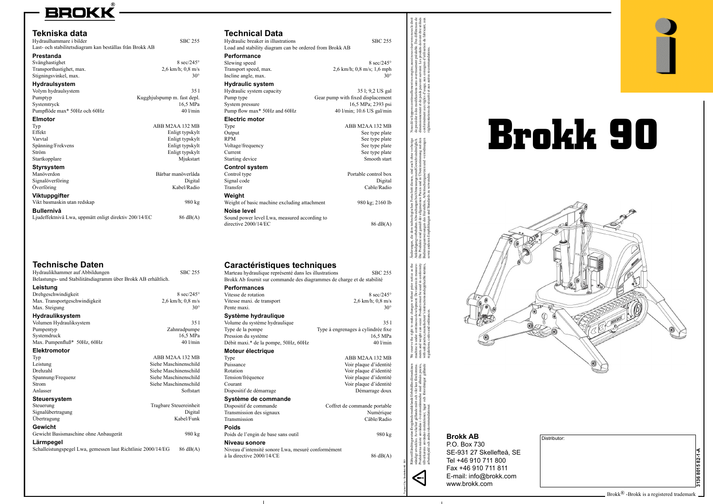

P.O. Box 730 SE-931 27 Skellefteå, SE Tel +46 910 711 800 Fax +46 910 711 811 E-mail: info@brokk.com www.brokk.com



| <b>Technische Daten</b>                                       |                             | Caractéristiques techniques                           |              |
|---------------------------------------------------------------|-----------------------------|-------------------------------------------------------|--------------|
| Hydraulikhammer auf Abbildungen                               | <b>SBC 255</b>              | Marteau hydraulique représenté dans les illustrations |              |
| Belastungs- und Stabilitätsdiagramm über Brokk AB erhältlich. |                             | Brokk Ab fournit sur commande des diagrammes de ch    |              |
| Leistung                                                      |                             | <b>Performances</b>                                   |              |
| Drehgeschwindigkeit                                           | $8 \text{ sec}/245^{\circ}$ | Vitesse de rotation                                   |              |
| Max. Transportgeschwindigkeit                                 | $2,6$ km/h; $0,8$ m/s       | Vitesse maxi. de transport                            |              |
| Max. Steigung                                                 | $30^\circ$                  | Pente maxi.                                           |              |
| Hydrauliksystem                                               |                             | Système hydraulique                                   |              |
| Volumen Hydrauliksystem                                       | 351                         | Volume du système hydraulique                         |              |
| Pumpentyp                                                     | Zahnradpumpe                | Type de la pompe                                      | Type à engre |
| Systemdruck                                                   | 16,5 MPa                    | Pression du système                                   |              |
| Max. Pumpenfluß* 50Hz, 60Hz                                   | $40$ l/min                  | Débit maxi.* de la pompe, 50Hz, 60Hz                  |              |
| <b>Elektromotor</b>                                           |                             | Moteur électrique                                     |              |
| Typ                                                           | ABB M2AA 132 MB             | Type                                                  |              |
| Leistung                                                      | Siehe Maschinenschild       | Puissance                                             |              |
| Drehzahl                                                      | Siehe Maschinenschild       | Rotation                                              |              |
| Spannung/Frequenz                                             | Siehe Maschinenschild       | Tension/fréquence                                     |              |
| <b>Strom</b>                                                  | Siehe Maschinenschild       | Courant                                               |              |
| Anlasser                                                      | Softstart                   | Dispositif de démarrage                               |              |
| <b>Steuersystem</b>                                           |                             | Système de commande                                   |              |
| Steuerung                                                     | Tragbare Steuereinheit      | Dispositif de commande                                | Coffret      |
| Signalübertragung                                             | Digital                     | Transmission des signaux                              |              |
| <b>Ubertragung</b>                                            | Kabel/Funk                  | Transmission                                          |              |
| Gewicht                                                       |                             | <b>Poids</b>                                          |              |
| Gewicht Basismaschine ohne Anbaugerät                         | 980 kg                      | Poids de l'engin de base sans outil                   |              |
| Lärmpegel                                                     |                             | Niveau sonore                                         |              |
| Schalleistungspegel Lwa, gemessen laut Richtlinie 2000/14/EG  | $86 \text{ dB}(A)$          | Niveau d'intensité sonore Lwa, mesuré conformément    |              |

| Hydraulic breaker in illustrations                                     | <b>SBC 255</b>                                        |  |
|------------------------------------------------------------------------|-------------------------------------------------------|--|
| Load and stability diagram can be ordered from Brokk AB                |                                                       |  |
| <b>Performance</b>                                                     |                                                       |  |
| Slewing speed                                                          | 8 sec/245 $^{\circ}$                                  |  |
| Transport speed, max.                                                  | $2,6$ km/h; $0,8$ m/s; $1,6$ mph                      |  |
| Incline angle, max.                                                    | $30^{\circ}$                                          |  |
| <b>Hydraulic system</b>                                                |                                                       |  |
| Hydraulic system capacity<br>Pump type                                 | 35 l; 9,2 US gal<br>Gear pump with fixed displacement |  |
| System pressure                                                        | 16,5 MPa; 2393 psi                                    |  |
| Pump flow max* 50Hz and 60Hz                                           | 40 l/min; 10.6 US gal/min                             |  |
| <b>Electric motor</b>                                                  |                                                       |  |
| Type                                                                   | ABB M2AA 132 MB                                       |  |
| Output                                                                 | See type plate                                        |  |
| <b>RPM</b>                                                             | See type plate                                        |  |
| Voltage/frequency                                                      | See type plate                                        |  |
| Current<br>Starting device                                             | See type plate<br>Smooth start                        |  |
|                                                                        |                                                       |  |
| <b>Control system</b><br>Control type                                  | Portable control box                                  |  |
| Signal code                                                            | Digital                                               |  |
| Transfer                                                               | Cable/Radio                                           |  |
| Weight                                                                 |                                                       |  |
| Weight of basic machine excluding attachment                           | 980 kg; 2160 lb                                       |  |
| Noise level                                                            |                                                       |  |
| Sound power level Lwa, measured according to                           |                                                       |  |
| directive 2000/14/EC                                                   | 86 dB(A)                                              |  |
|                                                                        |                                                       |  |
|                                                                        |                                                       |  |
|                                                                        |                                                       |  |
|                                                                        |                                                       |  |
|                                                                        |                                                       |  |
|                                                                        |                                                       |  |
| Caractéristiques techniques                                            |                                                       |  |
| Marteau hydraulique représenté dans les illustrations                  | <b>SBC 255</b>                                        |  |
| Brokk Ab fournit sur commande des diagrammes de charge et de stabilité |                                                       |  |
| <b>Performances</b>                                                    | 8 sec/245 $^{\circ}$                                  |  |
| Vitesse de rotation<br>Vitesse maxi. de transport                      |                                                       |  |
| Pente maxi.                                                            | 2,6 km/h; 0,8 m/s<br>$30^{\circ}$                     |  |
| Système hydraulique                                                    |                                                       |  |
| Volume du système hydraulique                                          | 351                                                   |  |
| Type de la pompe                                                       | Type à engrenages à cylindrée fixe                    |  |
| Pression du système                                                    | 16.5 MPa                                              |  |
| Débit maxi.* de la pompe, 50Hz, 60Hz                                   | $40$ $1/min$                                          |  |
| Moteur électrique                                                      |                                                       |  |
| Type                                                                   | ABB M2AA 132 MB                                       |  |
| Puissance                                                              | Voir plaque d'identité                                |  |
| Rotation                                                               | Voir plaque d'identité                                |  |
| Tension/fréquence<br>Courant                                           | Voir plaque d'identité                                |  |
| Dispositif de démarrage                                                | Voir plaque d'identité<br>Démarrage doux              |  |
| Système de commande                                                    |                                                       |  |
| Dispositif de commande                                                 | Coffret de commande portable                          |  |
| Transmission des signaux                                               | Numérique                                             |  |
| Transmission                                                           | Câble/Radio                                           |  |
| <b>Poids</b>                                                           |                                                       |  |
| Poids de l'engin de base sans outil                                    | 980 kg                                                |  |

 $\hat{a}$  la directive 2000/14/CE 86 dB(A)

 $\mathbf{1}$ 

## **BROKK**

| Tekniska data                                            |                             |
|----------------------------------------------------------|-----------------------------|
| Hydraulhammare i bilder                                  | <b>SBC 255</b>              |
| Last- och stabilitetsdiagram kan beställas från Brokk AB |                             |
| Prestanda                                                |                             |
| Svänghastighet                                           | $8 \text{ sec}/245^{\circ}$ |
| Transporthastighet, max.                                 | $2,6$ km/h; $0,8$ m/s       |
| Stigningsvinkel, max.                                    | $30^\circ$                  |
| <b>Hydraulsystem</b>                                     |                             |
| Volym hydraulsystem                                      | 351                         |
| Pumptyp                                                  | Kugghjulspump m. fast depl. |
| Systemtryck                                              | 16.5 MPa                    |
| Pumpflöde max* 50Hz och 60Hz                             | 401/min                     |
| <b>Elmotor</b>                                           |                             |
| Typ                                                      | ABB M2AA 132 MB             |
| Effekt                                                   | Enligt typskylt             |
| Varvtal                                                  | Enligt typskylt             |
| Spänning/Frekvens                                        | Enligt typskylt             |
| Ström                                                    | Enligt typskylt             |
| Startkopplare                                            | Mjukstart                   |
| <b>Styrsystem</b>                                        |                             |
| Manöverdon                                               | Bärbar manöverlåda          |
| Signalöverföring                                         | Digital                     |
| Överföring                                               | Kabel/Radio                 |
| <b>Viktuppgifter</b>                                     |                             |
| Vikt basmaskin utan redskap                              | 980 kg                      |
| <b>Bullernivå</b>                                        |                             |
| Ljudeffektnivå Lwa, uppmätt enligt direktiv 200/14/EC    | $86 \text{ dB}(A)$          |
|                                                          |                             |





## **Brokk AB**

## **Technical Data**

| Distributor: |                   |
|--------------|-------------------|
|              | ⋖                 |
|              | $\overline{2}$ -1 |
|              | ю                 |
|              | <u>ទី</u><br>36   |
|              | స్                |